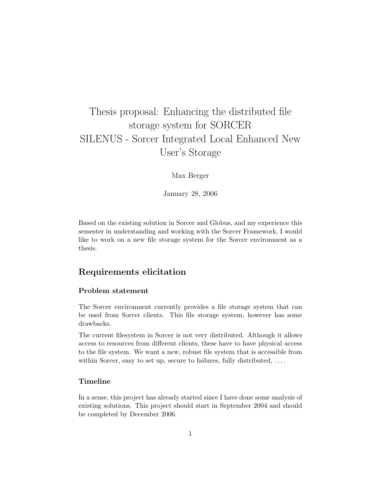# Thesis proposal: Enhancing the distributed file storage system for SORCER SILENUS - Sorcer Integrated Local Enhanced New User's Storage

Max Berger

January 28, 2006

Based on the existing solution in Sorcer and Globus, and my experience this semester in understanding and working with the Sorcer Framework, I would like to work on a new file storage system for the Sorcer environment as a thesis.

# Requirements elicitation

#### Problem statement

The Sorcer environment currently provides a file storage system that can be used from Sorcer clients. This file storage system, however has some drawbacks.

The current filesystem in Sorcer is not very distributed. Although it allows access to resources from different clients, these have to have physical access to the file system. We want a new, robust file system that is accessible from within Sorcer, easy to set up, secure to failures, fully distributed, ...

# Timeline

In a sense, this project has already started since I have done some analysis of existing solutions. This project should start in September 2004 and should be completed by December 2006.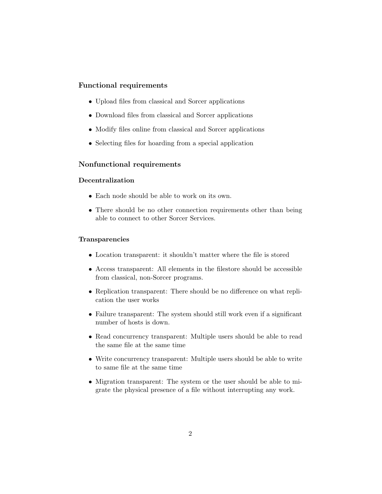# Functional requirements

- Upload files from classical and Sorcer applications
- Download files from classical and Sorcer applications
- Modify files online from classical and Sorcer applications
- Selecting files for hoarding from a special application

# Nonfunctional requirements

#### Decentralization

- Each node should be able to work on its own.
- There should be no other connection requirements other than being able to connect to other Sorcer Services.

#### Transparencies

- Location transparent: it shouldn't matter where the file is stored
- Access transparent: All elements in the filestore should be accessible from classical, non-Sorcer programs.
- Replication transparent: There should be no difference on what replication the user works
- Failure transparent: The system should still work even if a significant number of hosts is down.
- Read concurrency transparent: Multiple users should be able to read the same file at the same time
- Write concurrency transparent: Multiple users should be able to write to same file at the same time
- Migration transparent: The system or the user should be able to migrate the physical presence of a file without interrupting any work.